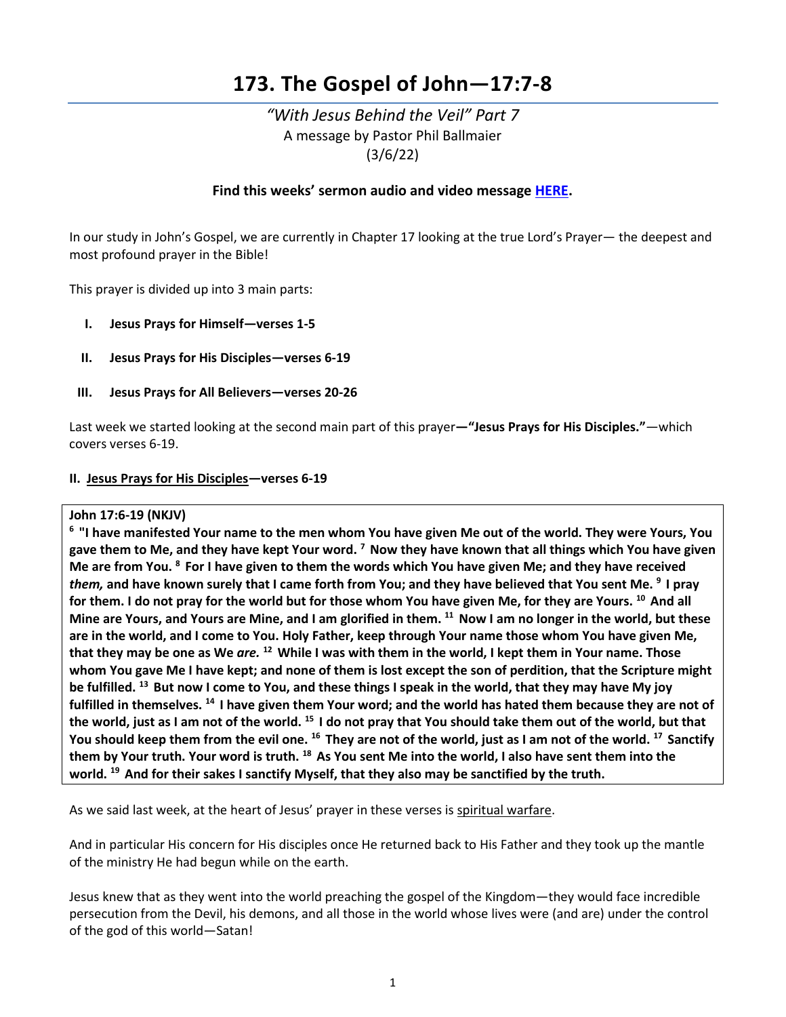# **173. The Gospel of John—17:7-8**

# *"With Jesus Behind the Veil" Part 7* A message by Pastor Phil Ballmaier (3/6/22)

# **Find this weeks' sermon audio and video message [HERE.](http://www.ccelkgrove.org/sunday-archives)**

In our study in John's Gospel, we are currently in Chapter 17 looking at the true Lord's Prayer— the deepest and most profound prayer in the Bible!

This prayer is divided up into 3 main parts:

- **I. Jesus Prays for Himself—verses 1-5**
- **II. Jesus Prays for His Disciples—verses 6-19**
- **III. Jesus Prays for All Believers—verses 20-26**

Last week we started looking at the second main part of this prayer**—"Jesus Prays for His Disciples."***—*which covers verses 6-19.

### **II. Jesus Prays for His Disciples—verses 6-19**

### **John 17:6-19 (NKJV)**

**6 "I have manifested Your name to the men whom You have given Me out of the world. They were Yours, You gave them to Me, and they have kept Your word. 7 Now they have known that all things which You have given Me are from You. 8 For I have given to them the words which You have given Me; and they have received**  *them,* **and have known surely that I came forth from You; and they have believed that You sent Me. 9 I pray for them. I do not pray for the world but for those whom You have given Me, for they are Yours. 10 And all Mine are Yours, and Yours are Mine, and I am glorified in them. 11 Now I am no longer in the world, but these are in the world, and I come to You. Holy Father, keep through Your name those whom You have given Me, that they may be one as We** *are.* **12 While I was with them in the world, I kept them in Your name. Those whom You gave Me I have kept; and none of them is lost except the son of perdition, that the Scripture might be fulfilled. 13 But now I come to You, and these things I speak in the world, that they may have My joy fulfilled in themselves. 14 I have given them Your word; and the world has hated them because they are not of the world, just as I am not of the world. 15 I do not pray that You should take them out of the world, but that You should keep them from the evil one. 16 They are not of the world, just as I am not of the world. 17 Sanctify them by Your truth. Your word is truth. 18 As You sent Me into the world, I also have sent them into the world. 19 And for their sakes I sanctify Myself, that they also may be sanctified by the truth.**

As we said last week, at the heart of Jesus' prayer in these verses is spiritual warfare.

And in particular His concern for His disciples once He returned back to His Father and they took up the mantle of the ministry He had begun while on the earth.

Jesus knew that as they went into the world preaching the gospel of the Kingdom—they would face incredible persecution from the Devil, his demons, and all those in the world whose lives were (and are) under the control of the god of this world—Satan!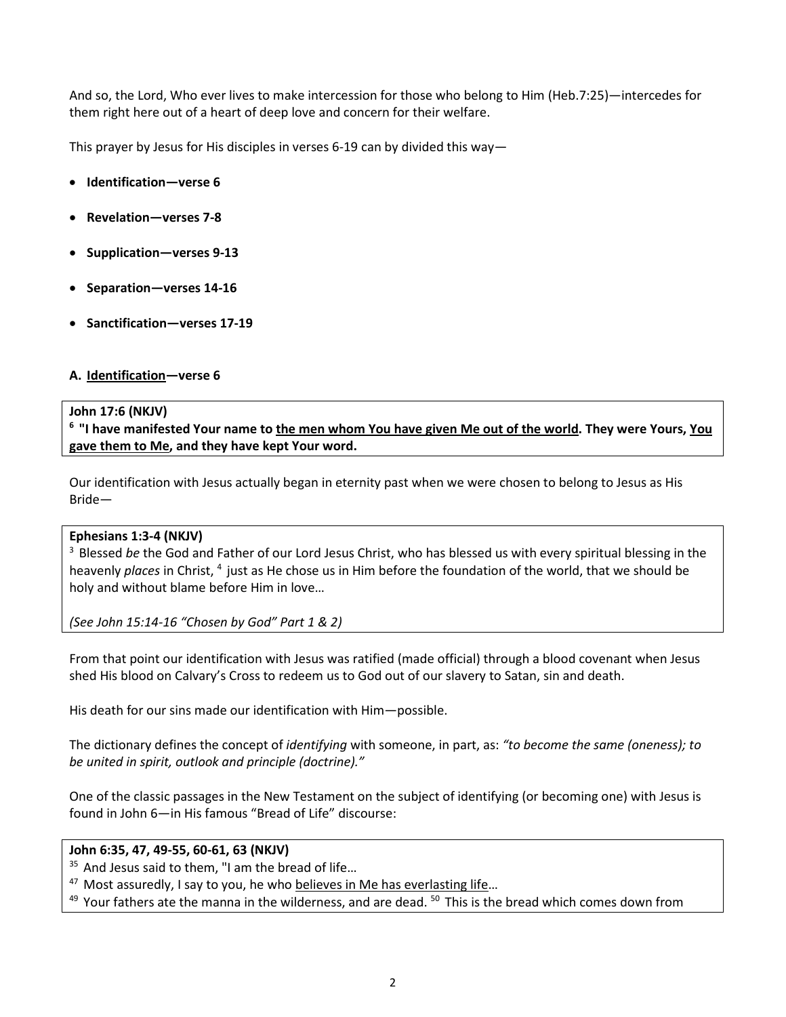And so, the Lord, Who ever lives to make intercession for those who belong to Him (Heb.7:25)—intercedes for them right here out of a heart of deep love and concern for their welfare.

This prayer by Jesus for His disciples in verses 6-19 can by divided this way—

- **Identification—verse 6**
- **Revelation—verses 7-8**
- **Supplication—verses 9-13**
- **Separation—verses 14-16**
- **Sanctification—verses 17-19**

### **A. Identification—verse 6**

### **John 17:6 (NKJV)**

**6 "I have manifested Your name to the men whom You have given Me out of the world. They were Yours, You gave them to Me, and they have kept Your word.**

Our identification with Jesus actually began in eternity past when we were chosen to belong to Jesus as His Bride—

### **Ephesians 1:3-4 (NKJV)**

3 Blessed *be* the God and Father of our Lord Jesus Christ, who has blessed us with every spiritual blessing in the heavenly *places* in Christ, 4 just as He chose us in Him before the foundation of the world, that we should be holy and without blame before Him in love…

*(See John 15:14-16 "Chosen by God" Part 1 & 2)*

From that point our identification with Jesus was ratified (made official) through a blood covenant when Jesus shed His blood on Calvary's Cross to redeem us to God out of our slavery to Satan, sin and death.

His death for our sins made our identification with Him—possible.

The dictionary defines the concept of *identifying* with someone, in part, as: *"to become the same (oneness); to be united in spirit, outlook and principle (doctrine)."*

One of the classic passages in the New Testament on the subject of identifying (or becoming one) with Jesus is found in John 6—in His famous "Bread of Life" discourse:

# **John 6:35, 47, 49-55, 60-61, 63 (NKJV)**

<sup>35</sup> And Jesus said to them, "I am the bread of life...

 $47$  Most assuredly, I say to you, he who believes in Me has everlasting life...

 $49$  Your fathers ate the manna in the wilderness, and are dead.  $50$  This is the bread which comes down from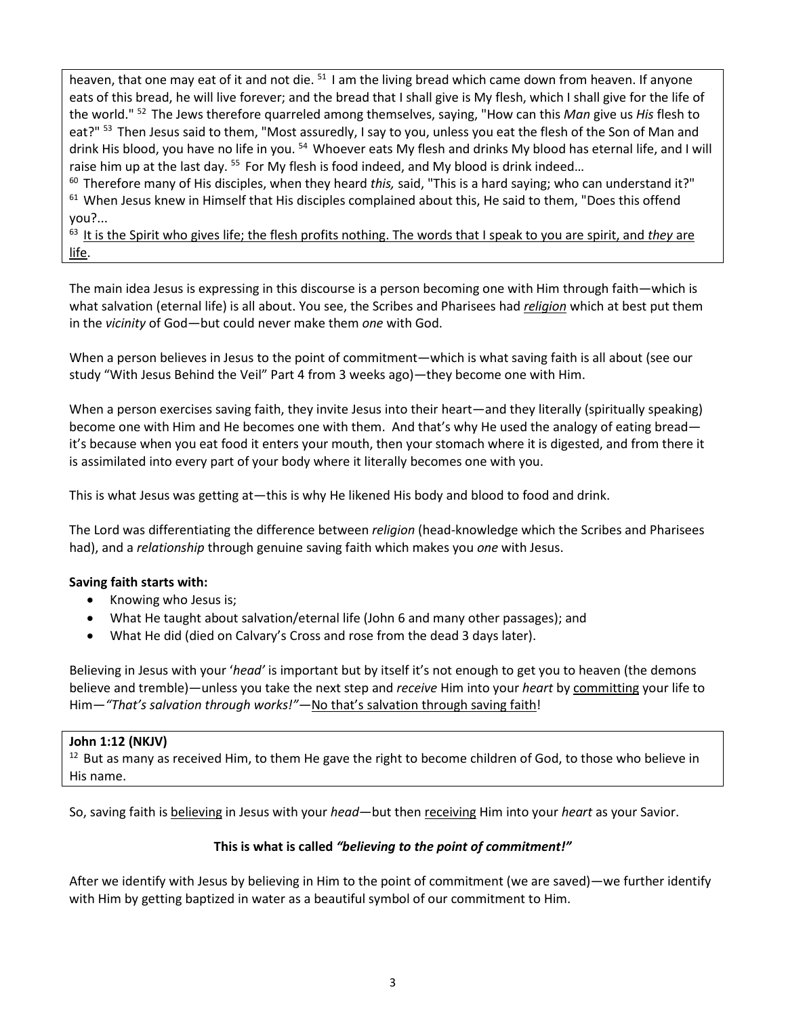heaven, that one may eat of it and not die.  $51$  I am the living bread which came down from heaven. If anyone eats of this bread, he will live forever; and the bread that I shall give is My flesh, which I shall give for the life of the world." 52 The Jews therefore quarreled among themselves, saying, "How can this *Man* give us *His* flesh to eat?" <sup>53</sup> Then Jesus said to them, "Most assuredly, I say to you, unless you eat the flesh of the Son of Man and drink His blood, you have no life in you. <sup>54</sup> Whoever eats My flesh and drinks My blood has eternal life, and I will raise him up at the last day. <sup>55</sup> For My flesh is food indeed, and My blood is drink indeed...

60 Therefore many of His disciples, when they heard *this,* said, "This is a hard saying; who can understand it?"  $61$  When Jesus knew in Himself that His disciples complained about this, He said to them, "Does this offend you?...

63 It is the Spirit who gives life; the flesh profits nothing. The words that I speak to you are spirit, and *they* are <u>life</u>.

The main idea Jesus is expressing in this discourse is a person becoming one with Him through faith—which is what salvation (eternal life) is all about. You see, the Scribes and Pharisees had *religion* which at best put them in the *vicinity* of God—but could never make them *one* with God.

When a person believes in Jesus to the point of commitment—which is what saving faith is all about (see our study "With Jesus Behind the Veil" Part 4 from 3 weeks ago)—they become one with Him.

When a person exercises saving faith, they invite Jesus into their heart—and they literally (spiritually speaking) become one with Him and He becomes one with them. And that's why He used the analogy of eating bread it's because when you eat food it enters your mouth, then your stomach where it is digested, and from there it is assimilated into every part of your body where it literally becomes one with you.

This is what Jesus was getting at—this is why He likened His body and blood to food and drink.

The Lord was differentiating the difference between *religion* (head-knowledge which the Scribes and Pharisees had), and a *relationship* through genuine saving faith which makes you *one* with Jesus.

# **Saving faith starts with:**

- Knowing who Jesus is;
- What He taught about salvation/eternal life (John 6 and many other passages); and
- What He did (died on Calvary's Cross and rose from the dead 3 days later).

Believing in Jesus with your '*head'* is important but by itself it's not enough to get you to heaven (the demons believe and tremble)—unless you take the next step and *receive* Him into your *heart* by committing your life to Him—*"That's salvation through works!"—*No that's salvation through saving faith!

# **John 1:12 (NKJV)**

 $12$  But as many as received Him, to them He gave the right to become children of God, to those who believe in His name.

So, saving faith is believing in Jesus with your *head*—but then receiving Him into your *heart* as your Savior.

# **This is what is called** *"believing to the point of commitment!"*

After we identify with Jesus by believing in Him to the point of commitment (we are saved)—we further identify with Him by getting baptized in water as a beautiful symbol of our commitment to Him.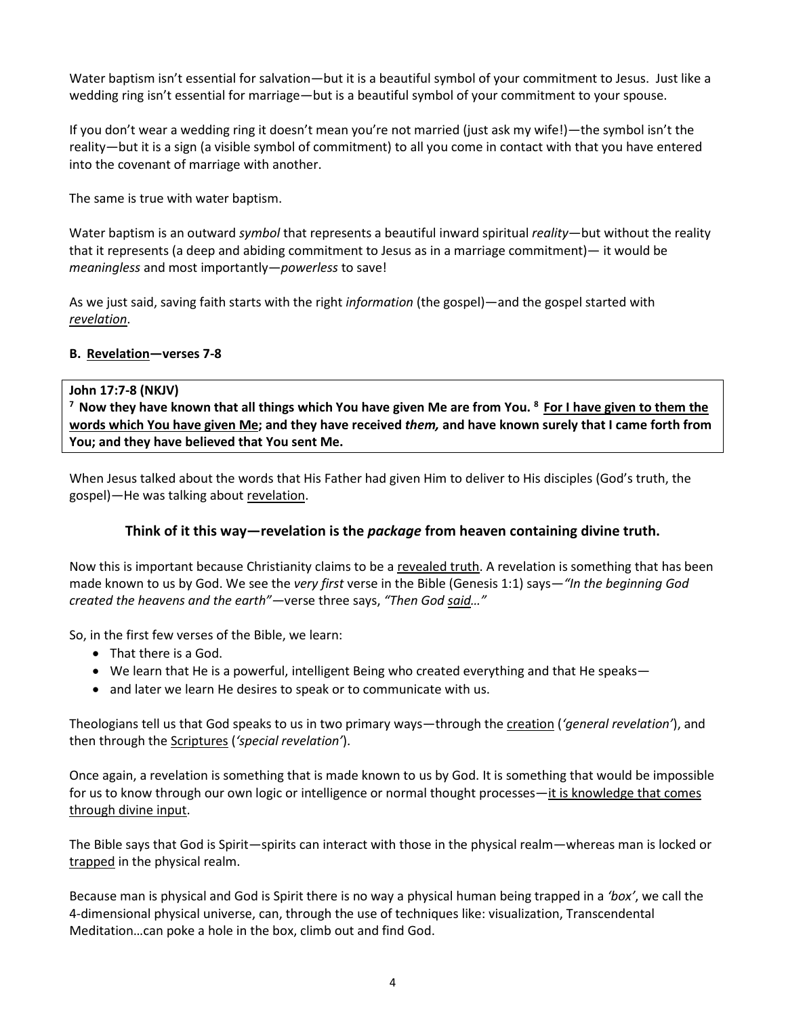Water baptism isn't essential for salvation—but it is a beautiful symbol of your commitment to Jesus. Just like a wedding ring isn't essential for marriage—but is a beautiful symbol of your commitment to your spouse.

If you don't wear a wedding ring it doesn't mean you're not married (just ask my wife!)—the symbol isn't the reality—but it is a sign (a visible symbol of commitment) to all you come in contact with that you have entered into the covenant of marriage with another.

The same is true with water baptism.

Water baptism is an outward *symbol* that represents a beautiful inward spiritual *reality*—but without the reality that it represents (a deep and abiding commitment to Jesus as in a marriage commitment)— it would be *meaningless* and most importantly—*powerless* to save!

As we just said, saving faith starts with the right *information* (the gospel)—and the gospel started with *revelation*.

# **B. Revelation—verses 7-8**

John 17:7-8 (NKJV)<br><sup>7</sup> Now they have known that all things which You have given Me are from You. <sup>8</sup> For I have given to them the **words which You have given Me; and they have received** *them,* **and have known surely that I came forth from You; and they have believed that You sent Me.**

When Jesus talked about the words that His Father had given Him to deliver to His disciples (God's truth, the gospel)—He was talking about revelation.

# **Think of it this way—revelation is the** *package* **from heaven containing divine truth.**

Now this is important because Christianity claims to be a revealed truth. A revelation is something that has been made known to us by God. We see the *very first* verse in the Bible (Genesis 1:1) says*—"In the beginning God created the heavens and the earth"—*verse three says, *"Then God said…"*

So, in the first few verses of the Bible, we learn:

- That there is a God.
- We learn that He is a powerful, intelligent Being who created everything and that He speaks—
- and later we learn He desires to speak or to communicate with us.

Theologians tell us that God speaks to us in two primary ways—through the creation (*'general revelation'*), and then through the Scriptures (*'special revelation'*).

Once again, a revelation is something that is made known to us by God. It is something that would be impossible for us to know through our own logic or intelligence or normal thought processes—it is knowledge that comes through divine input.

The Bible says that God is Spirit—spirits can interact with those in the physical realm—whereas man is locked or trapped in the physical realm.

Because man is physical and God is Spirit there is no way a physical human being trapped in a *'box'*, we call the 4-dimensional physical universe, can, through the use of techniques like: visualization, Transcendental Meditation…can poke a hole in the box, climb out and find God.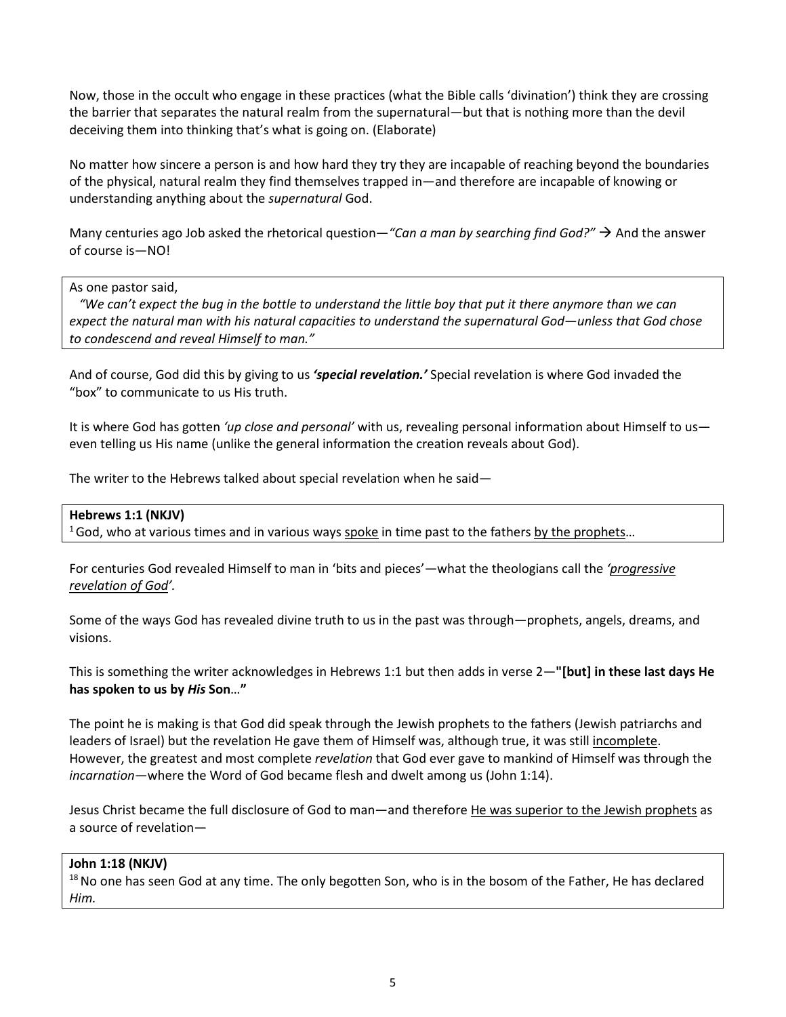Now, those in the occult who engage in these practices (what the Bible calls 'divination') think they are crossing the barrier that separates the natural realm from the supernatural—but that is nothing more than the devil deceiving them into thinking that's what is going on. (Elaborate)

No matter how sincere a person is and how hard they try they are incapable of reaching beyond the boundaries of the physical, natural realm they find themselves trapped in—and therefore are incapable of knowing or understanding anything about the *supernatural* God.

Many centuries ago Job asked the rhetorical question*—"Can a man by searching find God?"* And the answer of course is—NO!

### As one pastor said,

 *"We can't expect the bug in the bottle to understand the little boy that put it there anymore than we can expect the natural man with his natural capacities to understand the supernatural God—unless that God chose to condescend and reveal Himself to man."*

And of course, God did this by giving to us *'special revelation.'* Special revelation is where God invaded the "box" to communicate to us His truth.

It is where God has gotten *'up close and personal'* with us, revealing personal information about Himself to us even telling us His name (unlike the general information the creation reveals about God).

The writer to the Hebrews talked about special revelation when he said—

### **Hebrews 1:1 (NKJV)**

 $16$  God, who at various times and in various ways spoke in time past to the fathers by the prophets...

For centuries God revealed Himself to man in 'bits and pieces'—what the theologians call the *'progressive revelation of God'.*

Some of the ways God has revealed divine truth to us in the past was through—prophets, angels, dreams, and visions.

This is something the writer acknowledges in Hebrews 1:1 but then adds in verse 2—**"[but] in these last days He has spoken to us by** *His* **Son**…**"**

The point he is making is that God did speak through the Jewish prophets to the fathers (Jewish patriarchs and leaders of Israel) but the revelation He gave them of Himself was, although true, it was still incomplete. However, the greatest and most complete *revelation* that God ever gave to mankind of Himself was through the *incarnation*—where the Word of God became flesh and dwelt among us (John 1:14).

Jesus Christ became the full disclosure of God to man—and therefore He was superior to the Jewish prophets as a source of revelation—

### **John 1:18 (NKJV)**

<sup>18</sup> No one has seen God at any time. The only begotten Son, who is in the bosom of the Father, He has declared *Him.*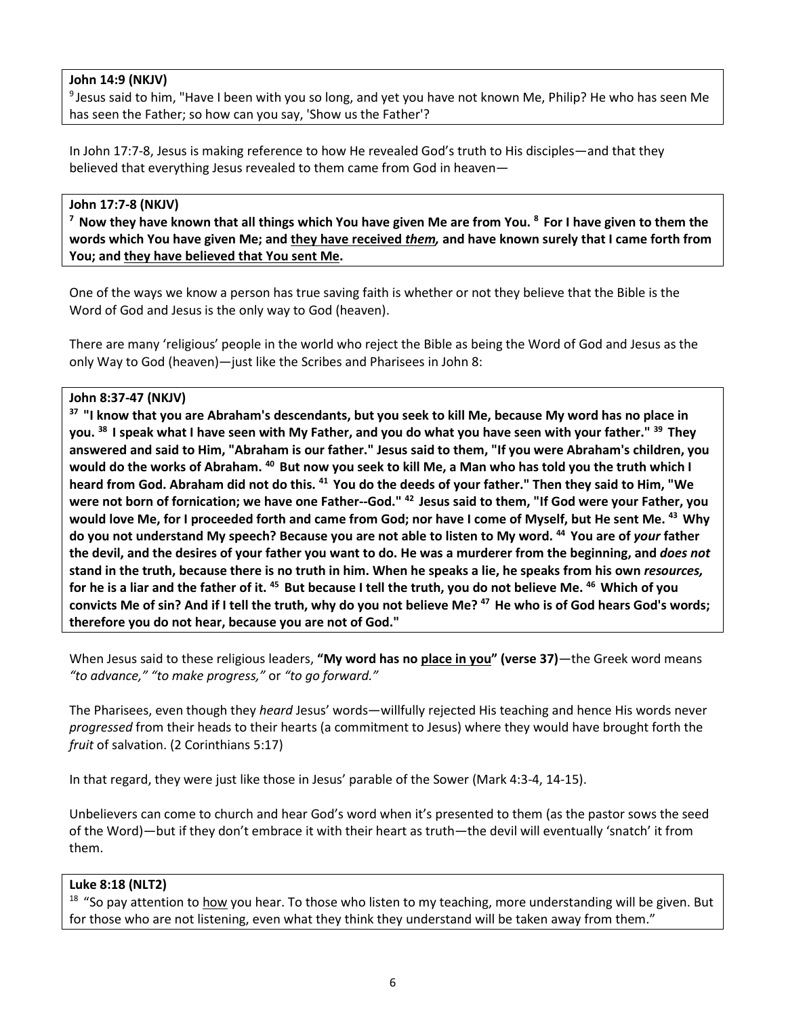# **John 14:9 (NKJV)**

<sup>9</sup> Jesus said to him, "Have I been with you so long, and yet you have not known Me, Philip? He who has seen Me has seen the Father; so how can you say, 'Show us the Father'?

In John 17:7-8, Jesus is making reference to how He revealed God's truth to His disciples—and that they believed that everything Jesus revealed to them came from God in heaven—

John 17:7-8 (NKJV)<br><sup>7</sup> Now they have known that all things which You have given Me are from You. <sup>8</sup> For I have given to them the **words which You have given Me; and they have received** *them,* **and have known surely that I came forth from You; and they have believed that You sent Me.**

One of the ways we know a person has true saving faith is whether or not they believe that the Bible is the Word of God and Jesus is the only way to God (heaven).

There are many 'religious' people in the world who reject the Bible as being the Word of God and Jesus as the only Way to God (heaven)—just like the Scribes and Pharisees in John 8:

# **John 8:37-47 (NKJV)**

**37 "I know that you are Abraham's descendants, but you seek to kill Me, because My word has no place in you. 38 I speak what I have seen with My Father, and you do what you have seen with your father." 39 They answered and said to Him, "Abraham is our father." Jesus said to them, "If you were Abraham's children, you would do the works of Abraham. 40 But now you seek to kill Me, a Man who has told you the truth which I heard from God. Abraham did not do this. 41 You do the deeds of your father." Then they said to Him, "We were not born of fornication; we have one Father--God." 42 Jesus said to them, "If God were your Father, you would love Me, for I proceeded forth and came from God; nor have I come of Myself, but He sent Me. 43 Why do you not understand My speech? Because you are not able to listen to My word. 44 You are of** *your* **father the devil, and the desires of your father you want to do. He was a murderer from the beginning, and** *does not* **stand in the truth, because there is no truth in him. When he speaks a lie, he speaks from his own** *resources,* **for he is a liar and the father of it. 45 But because I tell the truth, you do not believe Me. 46 Which of you convicts Me of sin? And if I tell the truth, why do you not believe Me? 47 He who is of God hears God's words; therefore you do not hear, because you are not of God."**

When Jesus said to these religious leaders, **"My word has no place in you" (verse 37)**—the Greek word means *"to advance," "to make progress,"* or *"to go forward."*

The Pharisees, even though they *heard* Jesus' words—willfully rejected His teaching and hence His words never *progressed* from their heads to their hearts (a commitment to Jesus) where they would have brought forth the *fruit* of salvation. (2 Corinthians 5:17)

In that regard, they were just like those in Jesus' parable of the Sower (Mark 4:3-4, 14-15).

Unbelievers can come to church and hear God's word when it's presented to them (as the pastor sows the seed of the Word)—but if they don't embrace it with their heart as truth—the devil will eventually 'snatch' it from them.

# **Luke 8:18 (NLT2)**

 $18$  "So pay attention to how you hear. To those who listen to my teaching, more understanding will be given. But for those who are not listening, even what they think they understand will be taken away from them."